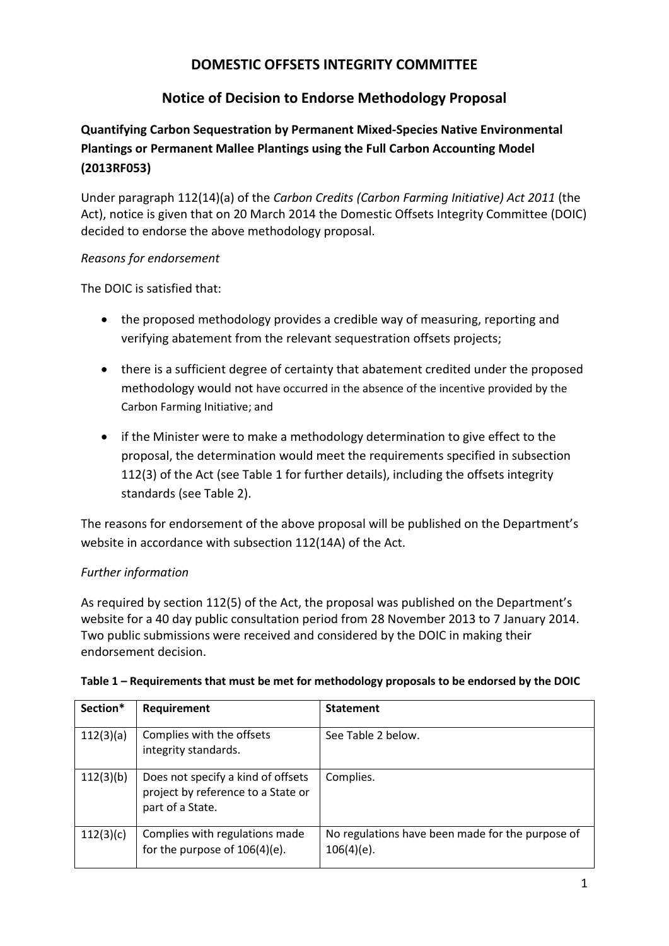## **DOMESTIC OFFSETS INTEGRITY COMMITTEE**

# **Notice of Decision to Endorse Methodology Proposal**

### **Quantifying Carbon Sequestration by Permanent Mixed-Species Native Environmental Plantings or Permanent Mallee Plantings using the Full Carbon Accounting Model (2013RF053)**

Under paragraph 112(14)(a) of the *Carbon Credits (Carbon Farming Initiative) Act 2011* (the Act), notice is given that on 20 March 2014 the Domestic Offsets Integrity Committee (DOIC) decided to endorse the above methodology proposal.

#### *Reasons for endorsement*

The DOIC is satisfied that:

- the proposed methodology provides a credible way of measuring, reporting and verifying abatement from the relevant sequestration offsets projects;
- there is a sufficient degree of certainty that abatement credited under the proposed methodology would not have occurred in the absence of the incentive provided by the Carbon Farming Initiative; and
- if the Minister were to make a methodology determination to give effect to the proposal, the determination would meet the requirements specified in subsection 112(3) of the Act (see Table 1 for further details), including the offsets integrity standards (see Table 2).

The reasons for endorsement of the above proposal will be published on the Department's website in accordance with subsection 112(14A) of the Act.

### *Further information*

As required by section 112(5) of the Act, the proposal was published on the Department's website for a 40 day public consultation period from 28 November 2013 to 7 January 2014. Two public submissions were received and considered by the DOIC in making their endorsement decision.

| Section*  | Requirement                                                                                  | <b>Statement</b>                                                  |
|-----------|----------------------------------------------------------------------------------------------|-------------------------------------------------------------------|
| 112(3)(a) | Complies with the offsets<br>integrity standards.                                            | See Table 2 below.                                                |
| 112(3)(b) | Does not specify a kind of offsets<br>project by reference to a State or<br>part of a State. | Complies.                                                         |
| 112(3)(c) | Complies with regulations made<br>for the purpose of 106(4)(e).                              | No regulations have been made for the purpose of<br>$106(4)(e)$ . |

#### **Table 1 – Requirements that must be met for methodology proposals to be endorsed by the DOIC**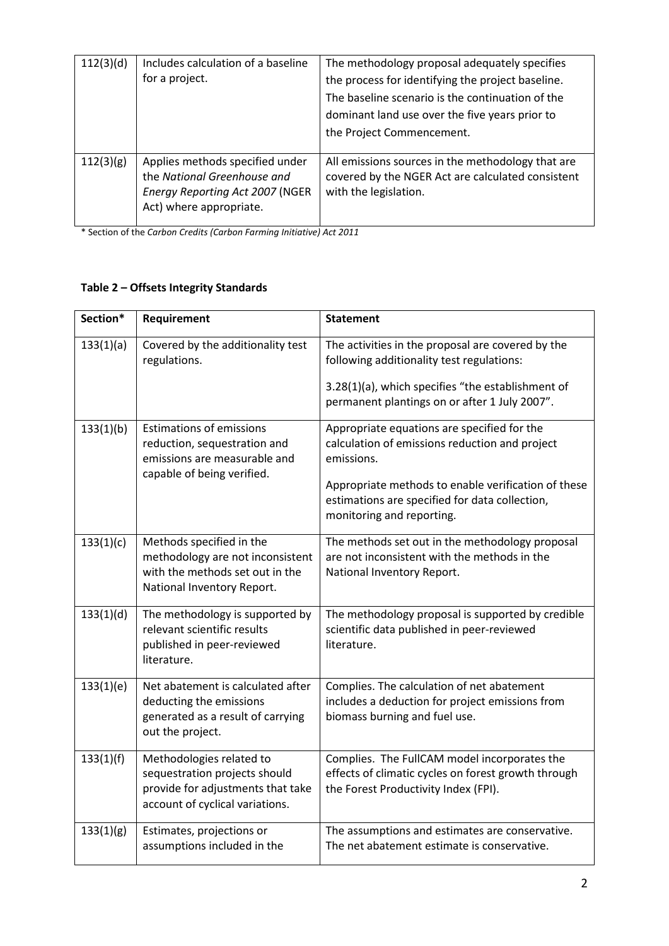| 112(3)(d) | Includes calculation of a baseline<br>for a project.                                                                                | The methodology proposal adequately specifies<br>the process for identifying the project baseline.<br>The baseline scenario is the continuation of the<br>dominant land use over the five years prior to<br>the Project Commencement. |
|-----------|-------------------------------------------------------------------------------------------------------------------------------------|---------------------------------------------------------------------------------------------------------------------------------------------------------------------------------------------------------------------------------------|
| 112(3)(g) | Applies methods specified under<br>the National Greenhouse and<br><b>Energy Reporting Act 2007 (NGER</b><br>Act) where appropriate. | All emissions sources in the methodology that are<br>covered by the NGER Act are calculated consistent<br>with the legislation.                                                                                                       |

\* Section of the *Carbon Credits (Carbon Farming Initiative) Act 2011*

### **Table 2 – Offsets Integrity Standards**

| Section*  | Requirement                                                                                                                       | <b>Statement</b>                                                                                                                                                                                                                                  |
|-----------|-----------------------------------------------------------------------------------------------------------------------------------|---------------------------------------------------------------------------------------------------------------------------------------------------------------------------------------------------------------------------------------------------|
| 133(1)(a) | Covered by the additionality test<br>regulations.                                                                                 | The activities in the proposal are covered by the<br>following additionality test regulations:<br>3.28(1)(a), which specifies "the establishment of<br>permanent plantings on or after 1 July 2007".                                              |
| 133(1)(b) | <b>Estimations of emissions</b><br>reduction, sequestration and<br>emissions are measurable and<br>capable of being verified.     | Appropriate equations are specified for the<br>calculation of emissions reduction and project<br>emissions.<br>Appropriate methods to enable verification of these<br>estimations are specified for data collection,<br>monitoring and reporting. |
| 133(1)(c) | Methods specified in the<br>methodology are not inconsistent<br>with the methods set out in the<br>National Inventory Report.     | The methods set out in the methodology proposal<br>are not inconsistent with the methods in the<br>National Inventory Report.                                                                                                                     |
| 133(1)(d) | The methodology is supported by<br>relevant scientific results<br>published in peer-reviewed<br>literature.                       | The methodology proposal is supported by credible<br>scientific data published in peer-reviewed<br>literature.                                                                                                                                    |
| 133(1)(e) | Net abatement is calculated after<br>deducting the emissions<br>generated as a result of carrying<br>out the project.             | Complies. The calculation of net abatement<br>includes a deduction for project emissions from<br>biomass burning and fuel use.                                                                                                                    |
| 133(1)(f) | Methodologies related to<br>sequestration projects should<br>provide for adjustments that take<br>account of cyclical variations. | Complies. The FullCAM model incorporates the<br>effects of climatic cycles on forest growth through<br>the Forest Productivity Index (FPI).                                                                                                       |
| 133(1)(g) | Estimates, projections or<br>assumptions included in the                                                                          | The assumptions and estimates are conservative.<br>The net abatement estimate is conservative.                                                                                                                                                    |